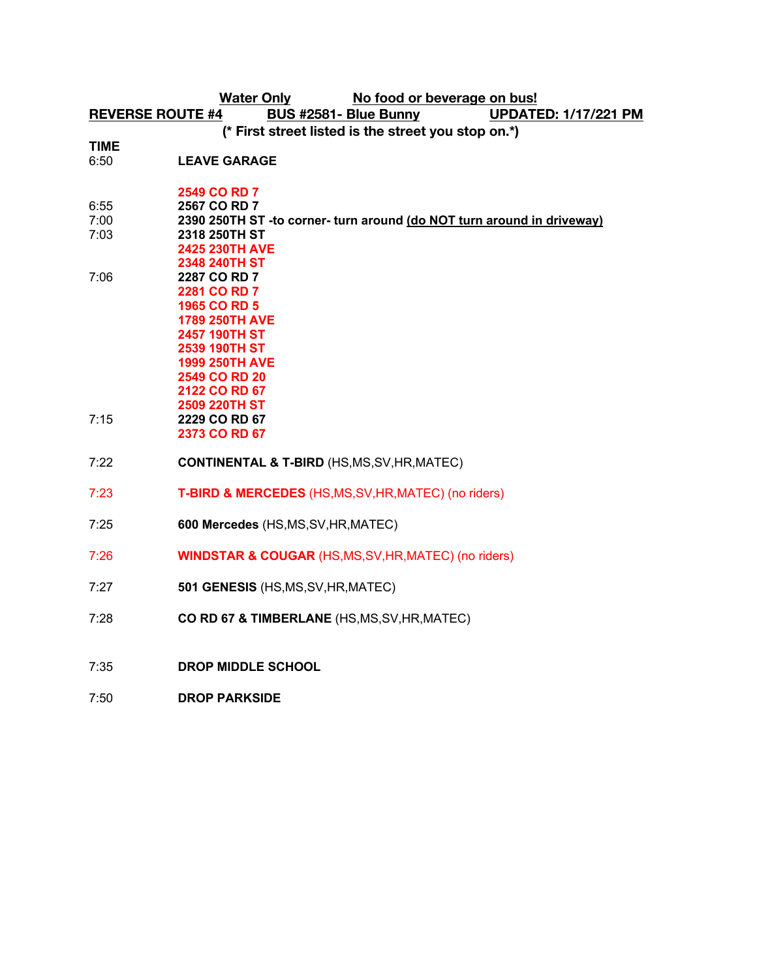**Water Only No food or beverage on bus! REVERSE ROUTE #4 BUS #2581- Blue Bunny UPDATED: 1/17/221 PM (\* First street listed is the street you stop on.\*)**

**TIME**

6:50 **LEAVE GARAGE**

- **2549 CO RD 7**
- 6:55 **2567 CO RD 7**
- 7:00 **2390 250TH ST -to corner- turn around (do NOT turn around in driveway)**
- 7:03 **2318 250TH ST**
- **2425 230TH AVE 2348 240TH ST**
- 7:06 **2287 CO RD 7 2281 CO RD 7**
- **1965 CO RD 5 1789 250TH AVE**
- **2457 190TH ST 2539 190TH ST 1999 250TH AVE 2549 CO RD 20**
- **2122 CO RD 67 2509 220TH ST** 7:15 **2229 CO RD 67**
	- **2373 CO RD 67**
- 7:22 **CONTINENTAL & T-BIRD** (HS,MS,SV,HR,MATEC)
- 7:23 **T-BIRD & MERCEDES** (HS,MS,SV,HR,MATEC) (no riders)
- 7:25 **600 Mercedes** (HS,MS,SV,HR,MATEC)
- 7:26 **WINDSTAR & COUGAR** (HS,MS,SV,HR,MATEC) (no riders)
- 7:27 **501 GENESIS** (HS,MS,SV,HR,MATEC)
- 7:28 **CO RD 67 & TIMBERLANE** (HS,MS,SV,HR,MATEC)
- 7:35 **DROP MIDDLE SCHOOL**
- 7:50 **DROP PARKSIDE**